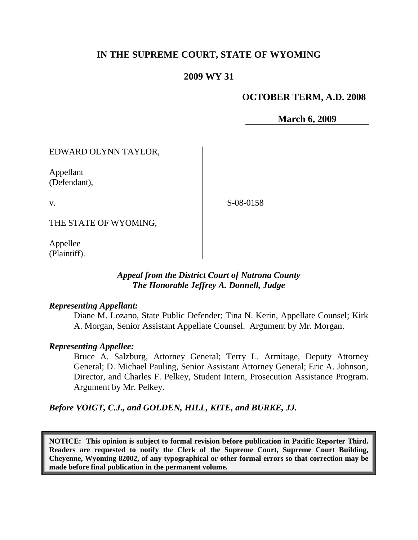# **IN THE SUPREME COURT, STATE OF WYOMING**

## **2009 WY 31**

### **OCTOBER TERM, A.D. 2008**

**March 6, 2009**

EDWARD OLYNN TAYLOR,

Appellant (Defendant),

v.

S-08-0158

THE STATE OF WYOMING,

Appellee (Plaintiff).

## *Appeal from the District Court of Natrona County The Honorable Jeffrey A. Donnell, Judge*

#### *Representing Appellant:*

Diane M. Lozano, State Public Defender; Tina N. Kerin, Appellate Counsel; Kirk A. Morgan, Senior Assistant Appellate Counsel. Argument by Mr. Morgan.

#### *Representing Appellee:*

Bruce A. Salzburg, Attorney General; Terry L. Armitage, Deputy Attorney General; D. Michael Pauling, Senior Assistant Attorney General; Eric A. Johnson, Director, and Charles F. Pelkey, Student Intern, Prosecution Assistance Program. Argument by Mr. Pelkey.

*Before VOIGT, C.J., and GOLDEN, HILL, KITE, and BURKE, JJ.*

**NOTICE: This opinion is subject to formal revision before publication in Pacific Reporter Third. Readers are requested to notify the Clerk of the Supreme Court, Supreme Court Building, Cheyenne, Wyoming 82002, of any typographical or other formal errors so that correction may be made before final publication in the permanent volume.**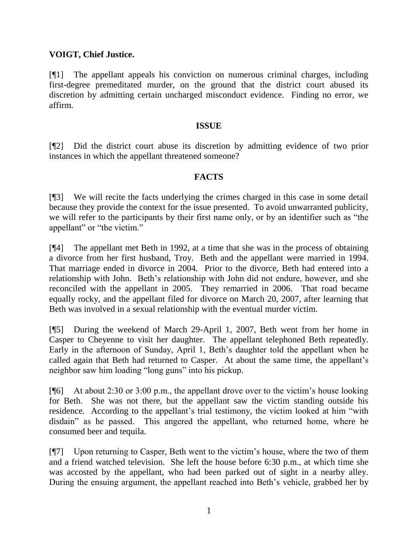## **VOIGT, Chief Justice.**

[¶1] The appellant appeals his conviction on numerous criminal charges, including first-degree premeditated murder, on the ground that the district court abused its discretion by admitting certain uncharged misconduct evidence. Finding no error, we affirm.

#### **ISSUE**

[¶2] Did the district court abuse its discretion by admitting evidence of two prior instances in which the appellant threatened someone?

## **FACTS**

[¶3] We will recite the facts underlying the crimes charged in this case in some detail because they provide the context for the issue presented. To avoid unwarranted publicity, we will refer to the participants by their first name only, or by an identifier such as "the appellant" or "the victim."

[¶4] The appellant met Beth in 1992, at a time that she was in the process of obtaining a divorce from her first husband, Troy. Beth and the appellant were married in 1994. That marriage ended in divorce in 2004. Prior to the divorce, Beth had entered into a relationship with John. Beth's relationship with John did not endure, however, and she reconciled with the appellant in 2005. They remarried in 2006. That road became equally rocky, and the appellant filed for divorce on March 20, 2007, after learning that Beth was involved in a sexual relationship with the eventual murder victim.

[¶5] During the weekend of March 29-April 1, 2007, Beth went from her home in Casper to Cheyenne to visit her daughter. The appellant telephoned Beth repeatedly. Early in the afternoon of Sunday, April 1, Beth's daughter told the appellant when he called again that Beth had returned to Casper. At about the same time, the appellant's neighbor saw him loading "long guns" into his pickup.

[ $[$ [6] At about 2:30 or 3:00 p.m., the appellant drove over to the victim's house looking for Beth. She was not there, but the appellant saw the victim standing outside his residence. According to the appellant's trial testimony, the victim looked at him "with disdain" as he passed. This angered the appellant, who returned home, where he consumed beer and tequila.

[¶7] Upon returning to Casper, Beth went to the victim's house, where the two of them and a friend watched television. She left the house before 6:30 p.m., at which time she was accosted by the appellant, who had been parked out of sight in a nearby alley. During the ensuing argument, the appellant reached into Beth's vehicle, grabbed her by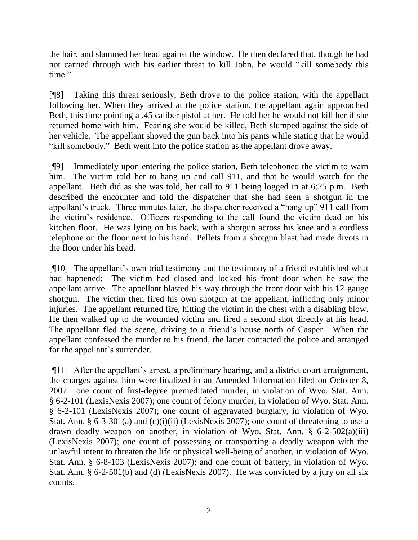the hair, and slammed her head against the window. He then declared that, though he had not carried through with his earlier threat to kill John, he would "kill somebody this time."

[¶8] Taking this threat seriously, Beth drove to the police station, with the appellant following her. When they arrived at the police station, the appellant again approached Beth, this time pointing a .45 caliber pistol at her. He told her he would not kill her if she returned home with him. Fearing she would be killed, Beth slumped against the side of her vehicle. The appellant shoved the gun back into his pants while stating that he would "kill somebody." Beth went into the police station as the appellant drove away.

[¶9] Immediately upon entering the police station, Beth telephoned the victim to warn him. The victim told her to hang up and call 911, and that he would watch for the appellant. Beth did as she was told, her call to 911 being logged in at 6:25 p.m. Beth described the encounter and told the dispatcher that she had seen a shotgun in the appellant's truck. Three minutes later, the dispatcher received a "hang up" 911 call from the victim's residence. Officers responding to the call found the victim dead on his kitchen floor. He was lying on his back, with a shotgun across his knee and a cordless telephone on the floor next to his hand. Pellets from a shotgun blast had made divots in the floor under his head.

[¶10] The appellant's own trial testimony and the testimony of a friend established what had happened: The victim had closed and locked his front door when he saw the appellant arrive. The appellant blasted his way through the front door with his 12-gauge shotgun. The victim then fired his own shotgun at the appellant, inflicting only minor injuries. The appellant returned fire, hitting the victim in the chest with a disabling blow. He then walked up to the wounded victim and fired a second shot directly at his head. The appellant fled the scene, driving to a friend's house north of Casper. When the appellant confessed the murder to his friend, the latter contacted the police and arranged for the appellant's surrender.

[¶11] After the appellant's arrest, a preliminary hearing, and a district court arraignment, the charges against him were finalized in an Amended Information filed on October 8, 2007: one count of first-degree premeditated murder, in violation of Wyo. Stat. Ann. § 6-2-101 (LexisNexis 2007); one count of felony murder, in violation of Wyo. Stat. Ann. § 6-2-101 (LexisNexis 2007); one count of aggravated burglary, in violation of Wyo. Stat. Ann. § 6-3-301(a) and (c)(i)(ii) (LexisNexis 2007); one count of threatening to use a drawn deadly weapon on another, in violation of Wyo. Stat. Ann. § 6-2-502(a)(iii) (LexisNexis 2007); one count of possessing or transporting a deadly weapon with the unlawful intent to threaten the life or physical well-being of another, in violation of Wyo. Stat. Ann. § 6-8-103 (LexisNexis 2007); and one count of battery, in violation of Wyo. Stat. Ann. § 6-2-501(b) and (d) (LexisNexis 2007). He was convicted by a jury on all six counts.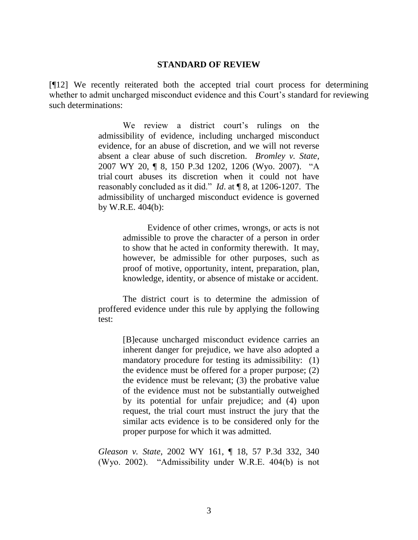#### **STANDARD OF REVIEW**

[¶12] We recently reiterated both the accepted trial court process for determining whether to admit uncharged misconduct evidence and this Court's standard for reviewing such determinations:

> We review a district court's rulings on the admissibility of evidence, including uncharged misconduct evidence, for an abuse of discretion, and we will not reverse absent a clear abuse of such discretion. *Bromley v. State*, 2007 WY 20, ¶ 8, 150 P.3d 1202, 1206 (Wyo. 2007). "A trial court abuses its discretion when it could not have reasonably concluded as it did." *Id*. at ¶ 8, at 1206-1207. The admissibility of uncharged misconduct evidence is governed by W.R.E. 404(b):

> > Evidence of other crimes, wrongs, or acts is not admissible to prove the character of a person in order to show that he acted in conformity therewith. It may, however, be admissible for other purposes, such as proof of motive, opportunity, intent, preparation, plan, knowledge, identity, or absence of mistake or accident.

The district court is to determine the admission of proffered evidence under this rule by applying the following test:

> [B]ecause uncharged misconduct evidence carries an inherent danger for prejudice, we have also adopted a mandatory procedure for testing its admissibility: (1) the evidence must be offered for a proper purpose; (2) the evidence must be relevant; (3) the probative value of the evidence must not be substantially outweighed by its potential for unfair prejudice; and (4) upon request, the trial court must instruct the jury that the similar acts evidence is to be considered only for the proper purpose for which it was admitted.

*Gleason v. State*, 2002 WY 161, ¶ 18, 57 P.3d 332, 340 (Wyo. 2002). "Admissibility under W.R.E. 404(b) is not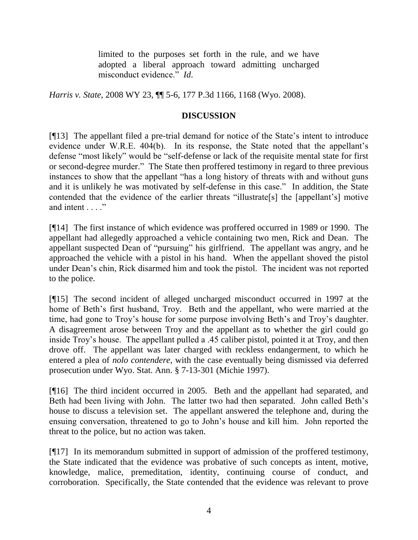limited to the purposes set forth in the rule, and we have adopted a liberal approach toward admitting uncharged misconduct evidence." *Id*.

*Harris v. State*, 2008 WY 23, ¶¶ 5-6, 177 P.3d 1166, 1168 (Wyo. 2008).

## **DISCUSSION**

[¶13] The appellant filed a pre-trial demand for notice of the State's intent to introduce evidence under W.R.E. 404(b). In its response, the State noted that the appellant's defense "most likely" would be "self-defense or lack of the requisite mental state for first or second-degree murder." The State then proffered testimony in regard to three previous instances to show that the appellant "has a long history of threats with and without guns and it is unlikely he was motivated by self-defense in this case." In addition, the State contended that the evidence of the earlier threats "illustrate[s] the [appellant's] motive and intent . . . ."

[¶14] The first instance of which evidence was proffered occurred in 1989 or 1990. The appellant had allegedly approached a vehicle containing two men, Rick and Dean. The appellant suspected Dean of "pursuing" his girlfriend. The appellant was angry, and he approached the vehicle with a pistol in his hand. When the appellant shoved the pistol under Dean's chin, Rick disarmed him and took the pistol. The incident was not reported to the police.

[¶15] The second incident of alleged uncharged misconduct occurred in 1997 at the home of Beth's first husband, Troy. Beth and the appellant, who were married at the time, had gone to Troy's house for some purpose involving Beth's and Troy's daughter. A disagreement arose between Troy and the appellant as to whether the girl could go inside Troy's house. The appellant pulled a .45 caliber pistol, pointed it at Troy, and then drove off. The appellant was later charged with reckless endangerment, to which he entered a plea of *nolo contendere*, with the case eventually being dismissed via deferred prosecution under Wyo. Stat. Ann. § 7-13-301 (Michie 1997).

[¶16] The third incident occurred in 2005. Beth and the appellant had separated, and Beth had been living with John. The latter two had then separated. John called Beth's house to discuss a television set. The appellant answered the telephone and, during the ensuing conversation, threatened to go to John's house and kill him. John reported the threat to the police, but no action was taken.

[¶17] In its memorandum submitted in support of admission of the proffered testimony, the State indicated that the evidence was probative of such concepts as intent, motive, knowledge, malice, premeditation, identity, continuing course of conduct, and corroboration. Specifically, the State contended that the evidence was relevant to prove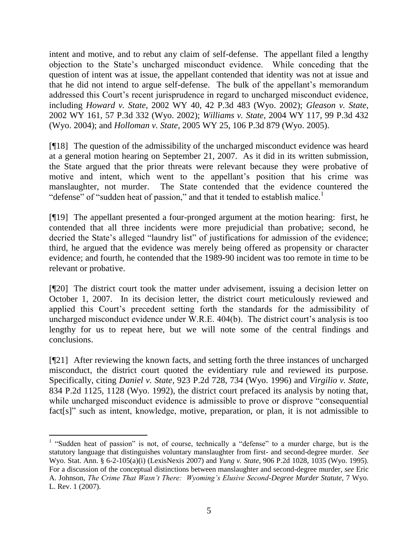intent and motive, and to rebut any claim of self-defense. The appellant filed a lengthy objection to the State's uncharged misconduct evidence. While conceding that the question of intent was at issue, the appellant contended that identity was not at issue and that he did not intend to argue self-defense. The bulk of the appellant's memorandum addressed this Court's recent jurisprudence in regard to uncharged misconduct evidence, including *Howard v. State*, 2002 WY 40, 42 P.3d 483 (Wyo. 2002); *Gleason v. State*, 2002 WY 161, 57 P.3d 332 (Wyo. 2002); *Williams v. State*, 2004 WY 117, 99 P.3d 432 (Wyo. 2004); and *Holloman v. State*, 2005 WY 25, 106 P.3d 879 (Wyo. 2005).

[¶18] The question of the admissibility of the uncharged misconduct evidence was heard at a general motion hearing on September 21, 2007. As it did in its written submission, the State argued that the prior threats were relevant because they were probative of motive and intent, which went to the appellant's position that his crime was manslaughter, not murder. The State contended that the evidence countered the "defense" of "sudden heat of passion," and that it tended to establish malice.<sup>1</sup>

[¶19] The appellant presented a four-pronged argument at the motion hearing: first, he contended that all three incidents were more prejudicial than probative; second, he decried the State's alleged "laundry list" of justifications for admission of the evidence; third, he argued that the evidence was merely being offered as propensity or character evidence; and fourth, he contended that the 1989-90 incident was too remote in time to be relevant or probative.

[¶20] The district court took the matter under advisement, issuing a decision letter on October 1, 2007. In its decision letter, the district court meticulously reviewed and applied this Court's precedent setting forth the standards for the admissibility of uncharged misconduct evidence under W.R.E. 404(b). The district court's analysis is too lengthy for us to repeat here, but we will note some of the central findings and conclusions.

[¶21] After reviewing the known facts, and setting forth the three instances of uncharged misconduct, the district court quoted the evidentiary rule and reviewed its purpose. Specifically, citing *Daniel v. State*, 923 P.2d 728, 734 (Wyo. 1996) and *Virgilio v. State*, 834 P.2d 1125, 1128 (Wyo. 1992), the district court prefaced its analysis by noting that, while uncharged misconduct evidence is admissible to prove or disprove "consequential" fact[s]" such as intent, knowledge, motive, preparation, or plan, it is not admissible to

 <sup>1</sup> "Sudden heat of passion" is not, of course, technically a "defense" to a murder charge, but is the statutory language that distinguishes voluntary manslaughter from first- and second-degree murder. *See*  Wyo. Stat. Ann. § 6-2-105(a)(i) (LexisNexis 2007) and *Yung v. State*, 906 P.2d 1028, 1035 (Wyo. 1995). For a discussion of the conceptual distinctions between manslaughter and second-degree murder, *see* Eric A. Johnson, *The Crime That Wasn't There: Wyoming's Elusive Second-Degree Murder Statute*, 7 Wyo. L. Rev. 1 (2007).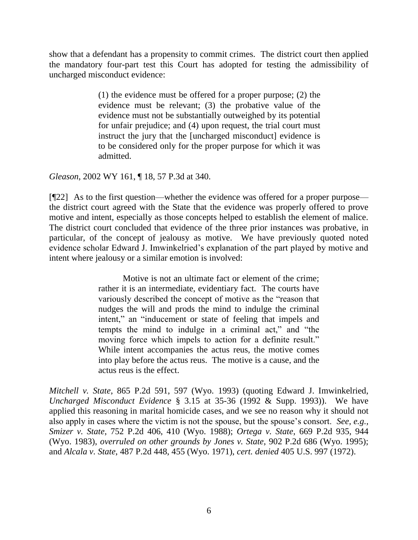show that a defendant has a propensity to commit crimes. The district court then applied the mandatory four-part test this Court has adopted for testing the admissibility of uncharged misconduct evidence:

> (1) the evidence must be offered for a proper purpose; (2) the evidence must be relevant; (3) the probative value of the evidence must not be substantially outweighed by its potential for unfair prejudice; and (4) upon request, the trial court must instruct the jury that the [uncharged misconduct] evidence is to be considered only for the proper purpose for which it was admitted.

*Gleason*, 2002 WY 161, ¶ 18, 57 P.3d at 340.

[¶22] As to the first question—whether the evidence was offered for a proper purpose the district court agreed with the State that the evidence was properly offered to prove motive and intent, especially as those concepts helped to establish the element of malice. The district court concluded that evidence of the three prior instances was probative, in particular, of the concept of jealousy as motive. We have previously quoted noted evidence scholar Edward J. Imwinkelried's explanation of the part played by motive and intent where jealousy or a similar emotion is involved:

> Motive is not an ultimate fact or element of the crime; rather it is an intermediate, evidentiary fact. The courts have variously described the concept of motive as the "reason that nudges the will and prods the mind to indulge the criminal intent," an "inducement or state of feeling that impels and tempts the mind to indulge in a criminal act," and "the moving force which impels to action for a definite result." While intent accompanies the actus reus, the motive comes into play before the actus reus. The motive is a cause, and the actus reus is the effect.

*Mitchell v. State*, 865 P.2d 591, 597 (Wyo. 1993) (quoting Edward J. Imwinkelried, *Uncharged Misconduct Evidence* § 3.15 at 35-36 (1992 & Supp. 1993)). We have applied this reasoning in marital homicide cases, and we see no reason why it should not also apply in cases where the victim is not the spouse, but the spouse's consort. *See, e.g., Smizer v. State*, 752 P.2d 406, 410 (Wyo. 1988); *Ortega v. State*, 669 P.2d 935, 944 (Wyo. 1983), *overruled on other grounds by Jones v. State*, 902 P.2d 686 (Wyo. 1995); and *Alcala v. State*, 487 P.2d 448, 455 (Wyo. 1971), *cert. denied* 405 U.S. 997 (1972).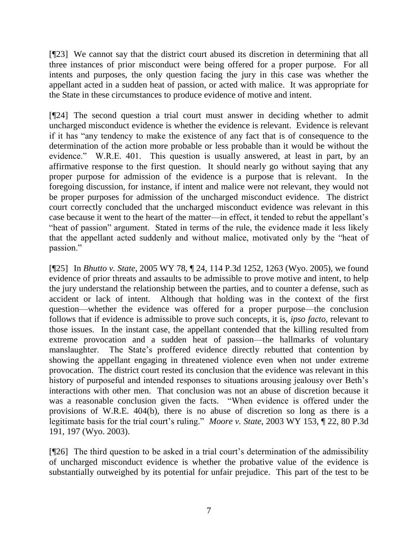[¶23] We cannot say that the district court abused its discretion in determining that all three instances of prior misconduct were being offered for a proper purpose. For all intents and purposes, the only question facing the jury in this case was whether the appellant acted in a sudden heat of passion, or acted with malice. It was appropriate for the State in these circumstances to produce evidence of motive and intent.

[¶24] The second question a trial court must answer in deciding whether to admit uncharged misconduct evidence is whether the evidence is relevant. Evidence is relevant if it has "any tendency to make the existence of any fact that is of consequence to the determination of the action more probable or less probable than it would be without the evidence." W.R.E. 401. This question is usually answered, at least in part, by an affirmative response to the first question. It should nearly go without saying that any proper purpose for admission of the evidence is a purpose that is relevant. In the foregoing discussion, for instance, if intent and malice were not relevant, they would not be proper purposes for admission of the uncharged misconduct evidence. The district court correctly concluded that the uncharged misconduct evidence was relevant in this case because it went to the heart of the matter—in effect, it tended to rebut the appellant's "heat of passion" argument. Stated in terms of the rule, the evidence made it less likely that the appellant acted suddenly and without malice, motivated only by the "heat of passion."

[¶25] In *Bhutto v. State*, 2005 WY 78, ¶ 24, 114 P.3d 1252, 1263 (Wyo. 2005), we found evidence of prior threats and assaults to be admissible to prove motive and intent, to help the jury understand the relationship between the parties, and to counter a defense, such as accident or lack of intent. Although that holding was in the context of the first question—whether the evidence was offered for a proper purpose—the conclusion follows that if evidence is admissible to prove such concepts, it is, *ipso facto*, relevant to those issues. In the instant case, the appellant contended that the killing resulted from extreme provocation and a sudden heat of passion—the hallmarks of voluntary manslaughter. The State's proffered evidence directly rebutted that contention by showing the appellant engaging in threatened violence even when not under extreme provocation. The district court rested its conclusion that the evidence was relevant in this history of purposeful and intended responses to situations arousing jealousy over Beth's interactions with other men. That conclusion was not an abuse of discretion because it was a reasonable conclusion given the facts. "When evidence is offered under the provisions of W.R.E. 404(b), there is no abuse of discretion so long as there is a legitimate basis for the trial court's ruling." *Moore v. State*, 2003 WY 153, ¶ 22, 80 P.3d 191, 197 (Wyo. 2003).

[¶26] The third question to be asked in a trial court's determination of the admissibility of uncharged misconduct evidence is whether the probative value of the evidence is substantially outweighed by its potential for unfair prejudice. This part of the test to be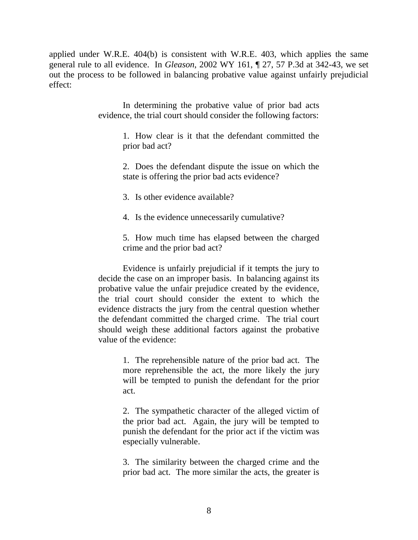applied under W.R.E. 404(b) is consistent with W.R.E. 403, which applies the same general rule to all evidence. In *Gleason*, 2002 WY 161, ¶ 27, 57 P.3d at 342-43, we set out the process to be followed in balancing probative value against unfairly prejudicial effect:

> In determining the probative value of prior bad acts evidence, the trial court should consider the following factors:

> > 1. How clear is it that the defendant committed the prior bad act?

> > 2. Does the defendant dispute the issue on which the state is offering the prior bad acts evidence?

3. Is other evidence available?

4. Is the evidence unnecessarily cumulative?

5. How much time has elapsed between the charged crime and the prior bad act?

Evidence is unfairly prejudicial if it tempts the jury to decide the case on an improper basis. In balancing against its probative value the unfair prejudice created by the evidence, the trial court should consider the extent to which the evidence distracts the jury from the central question whether the defendant committed the charged crime. The trial court should weigh these additional factors against the probative value of the evidence:

> 1. The reprehensible nature of the prior bad act. The more reprehensible the act, the more likely the jury will be tempted to punish the defendant for the prior act.

> 2. The sympathetic character of the alleged victim of the prior bad act. Again, the jury will be tempted to punish the defendant for the prior act if the victim was especially vulnerable.

> 3. The similarity between the charged crime and the prior bad act. The more similar the acts, the greater is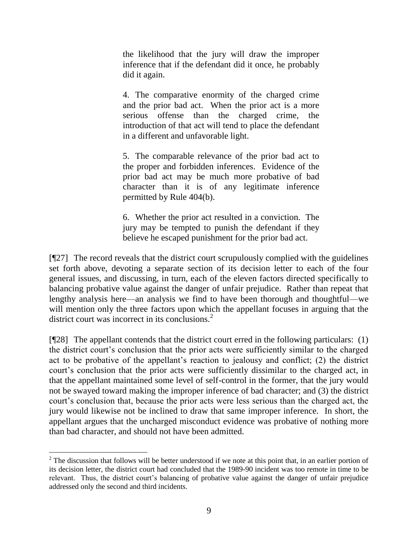the likelihood that the jury will draw the improper inference that if the defendant did it once, he probably did it again.

4. The comparative enormity of the charged crime and the prior bad act. When the prior act is a more serious offense than the charged crime, the introduction of that act will tend to place the defendant in a different and unfavorable light.

5. The comparable relevance of the prior bad act to the proper and forbidden inferences. Evidence of the prior bad act may be much more probative of bad character than it is of any legitimate inference permitted by Rule 404(b).

6. Whether the prior act resulted in a conviction. The jury may be tempted to punish the defendant if they believe he escaped punishment for the prior bad act.

[¶27] The record reveals that the district court scrupulously complied with the guidelines set forth above, devoting a separate section of its decision letter to each of the four general issues, and discussing, in turn, each of the eleven factors directed specifically to balancing probative value against the danger of unfair prejudice. Rather than repeat that lengthy analysis here—an analysis we find to have been thorough and thoughtful—we will mention only the three factors upon which the appellant focuses in arguing that the district court was incorrect in its conclusions. $2$ 

 $[$ [[28] The appellant contends that the district court erred in the following particulars: (1) the district court's conclusion that the prior acts were sufficiently similar to the charged act to be probative of the appellant's reaction to jealousy and conflict; (2) the district court's conclusion that the prior acts were sufficiently dissimilar to the charged act, in that the appellant maintained some level of self-control in the former, that the jury would not be swayed toward making the improper inference of bad character; and (3) the district court's conclusion that, because the prior acts were less serious than the charged act, the jury would likewise not be inclined to draw that same improper inference. In short, the appellant argues that the uncharged misconduct evidence was probative of nothing more than bad character, and should not have been admitted.

 $2$  The discussion that follows will be better understood if we note at this point that, in an earlier portion of its decision letter, the district court had concluded that the 1989-90 incident was too remote in time to be relevant. Thus, the district court's balancing of probative value against the danger of unfair prejudice addressed only the second and third incidents.